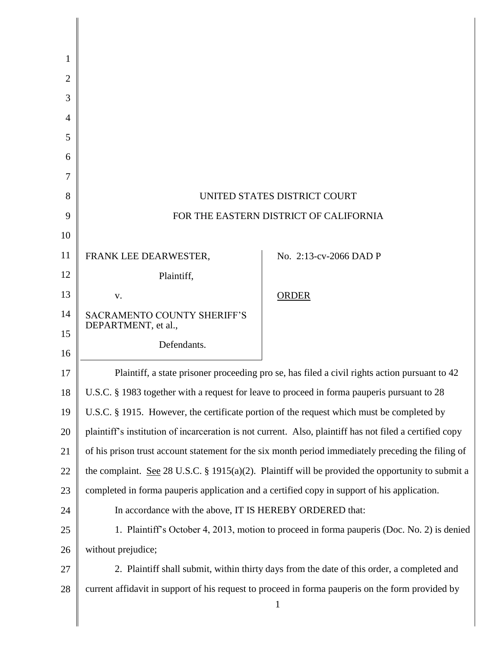| 1              |                                                                                                         |                        |
|----------------|---------------------------------------------------------------------------------------------------------|------------------------|
| $\overline{2}$ |                                                                                                         |                        |
| 3              |                                                                                                         |                        |
| 4              |                                                                                                         |                        |
| 5              |                                                                                                         |                        |
| 6              |                                                                                                         |                        |
| 7              |                                                                                                         |                        |
| 8              | UNITED STATES DISTRICT COURT                                                                            |                        |
| 9              | FOR THE EASTERN DISTRICT OF CALIFORNIA                                                                  |                        |
| 10             |                                                                                                         |                        |
| 11             | FRANK LEE DEARWESTER,                                                                                   | No. 2:13-cv-2066 DAD P |
| 12             | Plaintiff,                                                                                              |                        |
| 13             | V.                                                                                                      | <b>ORDER</b>           |
| 14             | <b>SACRAMENTO COUNTY SHERIFF'S</b><br>DEPARTMENT, et al.,                                               |                        |
| 15             | Defendants.                                                                                             |                        |
| 16             |                                                                                                         |                        |
| 17             | Plaintiff, a state prisoner proceeding pro se, has filed a civil rights action pursuant to 42           |                        |
| 18             | U.S.C. § 1983 together with a request for leave to proceed in forma pauperis pursuant to 28             |                        |
| 19             | U.S.C. § 1915. However, the certificate portion of the request which must be completed by               |                        |
| 20             | plaintiff's institution of incarceration is not current. Also, plaintiff has not filed a certified copy |                        |
| 21             | of his prison trust account statement for the six month period immediately preceding the filing of      |                        |
| 22             | the complaint. See 28 U.S.C. § 1915(a)(2). Plaintiff will be provided the opportunity to submit a       |                        |
| 23             | completed in forma pauperis application and a certified copy in support of his application.             |                        |
| 24             | In accordance with the above, IT IS HEREBY ORDERED that:                                                |                        |
| 25             | 1. Plaintiff's October 4, 2013, motion to proceed in forma pauperis (Doc. No. 2) is denied              |                        |
| 26             | without prejudice;                                                                                      |                        |
| 27             | 2. Plaintiff shall submit, within thirty days from the date of this order, a completed and              |                        |
| 28             | current affidavit in support of his request to proceed in forma pauperis on the form provided by        |                        |
|                |                                                                                                         |                        |
|                | $\mathbf{1}$                                                                                            |                        |

Π